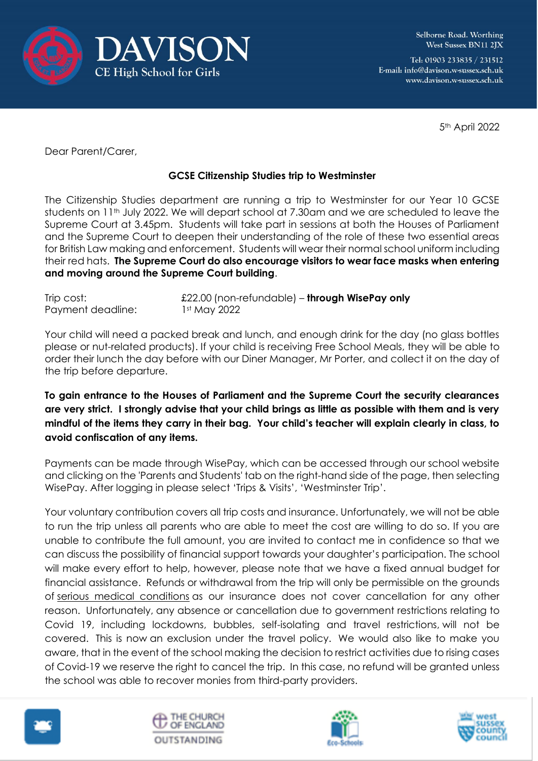

Selborne Road. Worthing West Sussex BN11 2JX

Tel: 01903 233835 / 231512 E-mail: info@davison.w-sussex.sch.uk www.davison.w-sussex.sch.uk

5th April 2022

Dear Parent/Carer,

## **GCSE Citizenship Studies trip to Westminster**

The Citizenship Studies department are running a trip to Westminster for our Year 10 GCSE students on 11<sup>th</sup> July 2022. We will depart school at 7.30am and we are scheduled to leave the Supreme Court at 3.45pm. Students will take part in sessions at both the Houses of Parliament and the Supreme Court to deepen their understanding of the role of these two essential areas for British Law making and enforcement. Students will wear their normal school uniform including their red hats. **The Supreme Court do also encourage visitors to wear face masks when entering and moving around the Supreme Court building**.

| Trip cost:        | $£22.00$ (non-refundable) – through WisePay only |
|-------------------|--------------------------------------------------|
| Payment deadline: | 1st May 2022                                     |

Your child will need a packed break and lunch, and enough drink for the day (no glass bottles please or nut-related products). If your child is receiving Free School Meals, they will be able to order their lunch the day before with our Diner Manager, Mr Porter, and collect it on the day of the trip before departure.

**To gain entrance to the Houses of Parliament and the Supreme Court the security clearances are very strict. I strongly advise that your child brings as little as possible with them and is very mindful of the items they carry in their bag. Your child's teacher will explain clearly in class, to avoid confiscation of any items.**

Payments can be made through WisePay, which can be accessed through our school website and clicking on the 'Parents and Students' tab on the right-hand side of the page, then selecting WisePay. After logging in please select 'Trips & Visits', 'Westminster Trip'.

Your voluntary contribution covers all trip costs and insurance. Unfortunately, we will not be able to run the trip unless all parents who are able to meet the cost are willing to do so. If you are unable to contribute the full amount, you are invited to contact me in confidence so that we can discuss the possibility of financial support towards your daughter's participation. The school will make every effort to help, however, please note that we have a fixed annual budget for financial assistance. Refunds or withdrawal from the trip will only be permissible on the grounds of serious medical conditions as our insurance does not cover cancellation for any other reason. Unfortunately, any absence or cancellation due to government restrictions relating to Covid 19, including lockdowns, bubbles, self-isolating and travel restrictions, will not be covered. This is now an exclusion under the travel policy. We would also like to make you aware, that in the event of the school making the decision to restrict activities due to rising cases of Covid-19 we reserve the right to cancel the trip. In this case, no refund will be granted unless the school was able to recover monies from third-party providers.